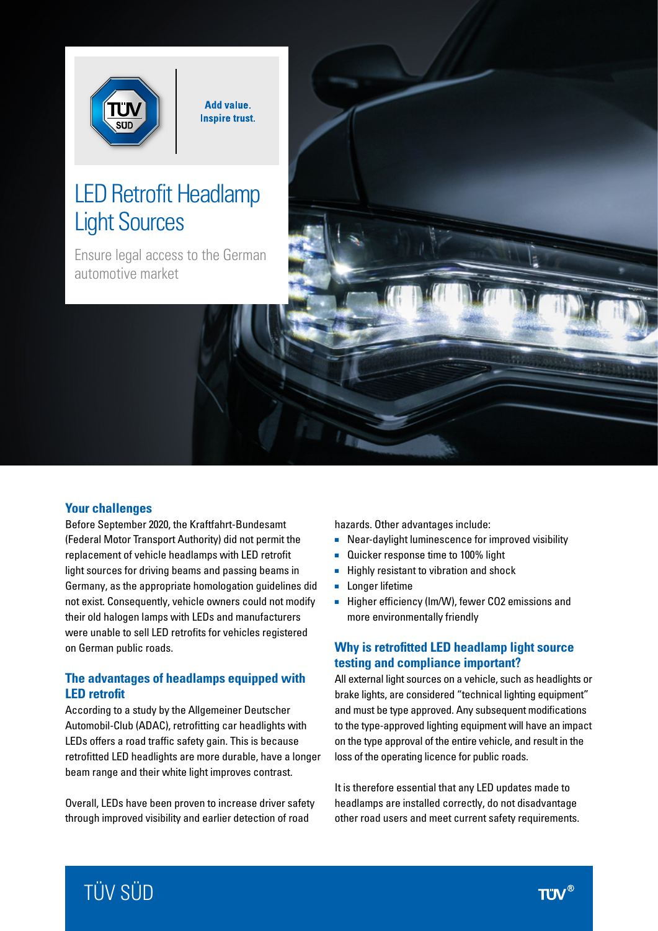

**Add value. Inspire trust.** 

# LED Retrofit Headlamp Light Sources

Ensure legal access to the German automotive market

# **Your challenges**

Before September 2020, the Kraftfahrt-Bundesamt (Federal Motor Transport Authority) did not permit the replacement of vehicle headlamps with LED retrofit light sources for driving beams and passing beams in Germany, as the appropriate homologation guidelines did not exist. Consequently, vehicle owners could not modify their old halogen lamps with LEDs and manufacturers were unable to sell LED retrofits for vehicles registered on German public roads.

## **The advantages of headlamps equipped with LED retrofit**

According to a study by the Allgemeiner Deutscher Automobil-Club (ADAC), retrofitting car headlights with LEDs offers a road traffic safety gain. This is because retrofitted LED headlights are more durable, have a longer beam range and their white light improves contrast.

Overall, LEDs have been proven to increase driver safety through improved visibility and earlier detection of road

hazards. Other advantages include:

- Near-daylight luminescence for improved visibility
- Quicker response time to 100% light
- Highly resistant to vibration and shock
- Longer lifetime
- Higher efficiency (Im/W), fewer CO2 emissions and more environmentally friendly

# **Why is retrofitted LED headlamp light source testing and compliance important?**

All external light sources on a vehicle, such as headlights or brake lights, are considered "technical lighting equipment" and must be type approved. Any subsequent modifications to the type-approved lighting equipment will have an impact on the type approval of the entire vehicle, and result in the loss of the operating licence for public roads.

It is therefore essential that any LED updates made to headlamps are installed correctly, do not disadvantage other road users and meet current safety requirements.

# TÜV SÜD